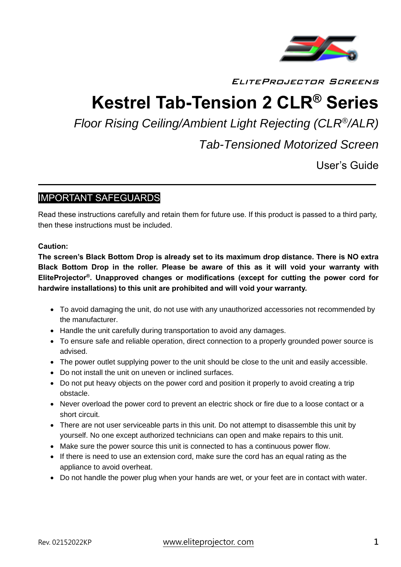

EliteProjector Screens

# **Kestrel Tab-Tension 2 CLR® Series**

*Floor Rising Ceiling/Ambient Light Rejecting (CLR® /ALR)*

*Tab-Tensioned Motorized Screen*

User's Guide

j.

# IMPORTANT SAFEGUARDS

Read these instructions carefully and retain them for future use. If this product is passed to a third party, then these instructions must be included.

#### **Caution:**

**The screen's Black Bottom Drop is already set to its maximum drop distance. There is NO extra Black Bottom Drop in the roller. Please be aware of this as it will void your warranty with EliteProjector® . Unapproved changes or modifications (except for cutting the power cord for hardwire installations) to this unit are prohibited and will void your warranty.**

- To avoid damaging the unit, do not use with any unauthorized accessories not recommended by the manufacturer.
- Handle the unit carefully during transportation to avoid any damages.
- To ensure safe and reliable operation, direct connection to a properly grounded power source is advised.
- The power outlet supplying power to the unit should be close to the unit and easily accessible.
- Do not install the unit on uneven or inclined surfaces.
- Do not put heavy objects on the power cord and position it properly to avoid creating a trip obstacle.
- Never overload the power cord to prevent an electric shock or fire due to a loose contact or a short circuit.
- There are not user serviceable parts in this unit. Do not attempt to disassemble this unit by yourself. No one except authorized technicians can open and make repairs to this unit.
- Make sure the power source this unit is connected to has a continuous power flow.
- If there is need to use an extension cord, make sure the cord has an equal rating as the appliance to avoid overheat.
- Do not handle the power plug when your hands are wet, or your feet are in contact with water.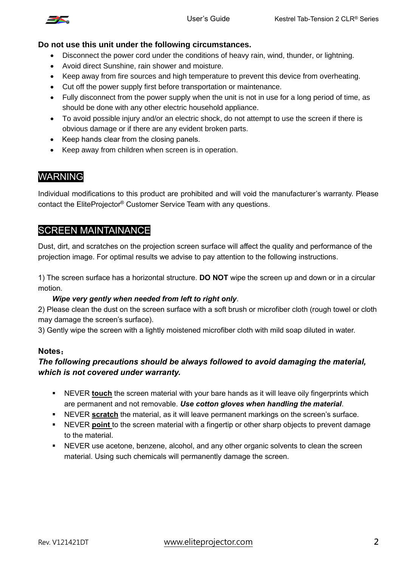

#### **Do not use this unit under the following circumstances.**

- Disconnect the power cord under the conditions of heavy rain, wind, thunder, or lightning.
- Avoid direct Sunshine, rain shower and moisture.
- Keep away from fire sources and high temperature to prevent this device from overheating.
- Cut off the power supply first before transportation or maintenance.
- Fully disconnect from the power supply when the unit is not in use for a long period of time, as should be done with any other electric household appliance.
- To avoid possible injury and/or an electric shock, do not attempt to use the screen if there is obvious damage or if there are any evident broken parts.
- Keep hands clear from the closing panels.
- Keep away from children when screen is in operation.

# WARNING

Individual modifications to this product are prohibited and will void the manufacturer's warranty. Please contact the EliteProjector® Customer Service Team with any questions.

### SCREEN MAINTAINANCE

Dust, dirt, and scratches on the projection screen surface will affect the quality and performance of the projection image. For optimal results we advise to pay attention to the following instructions.

1) The screen surface has a horizontal structure. **DO NOT** wipe the screen up and down or in a circular motion.

#### *Wipe very gently when needed from left to right only*.

2) Please clean the dust on the screen surface with a soft brush or microfiber cloth (rough towel or cloth may damage the screen's surface).

3) Gently wipe the screen with a lightly moistened microfiber cloth with mild soap diluted in water.

#### **Notes**:

#### *The following precautions should be always followed to avoid damaging the material, which is not covered under warranty.*

- **EXEUT A** NEVER **touch** the screen material with your bare hands as it will leave oily fingerprints which are permanent and not removable. *Use cotton gloves when handling the material*.
- NEVER **scratch** the material, as it will leave permanent markings on the screen's surface.
- NEVER **point** to the screen material with a fingertip or other sharp objects to prevent damage to the material.
- NEVER use acetone, benzene, alcohol, and any other organic solvents to clean the screen material. Using such chemicals will permanently damage the screen.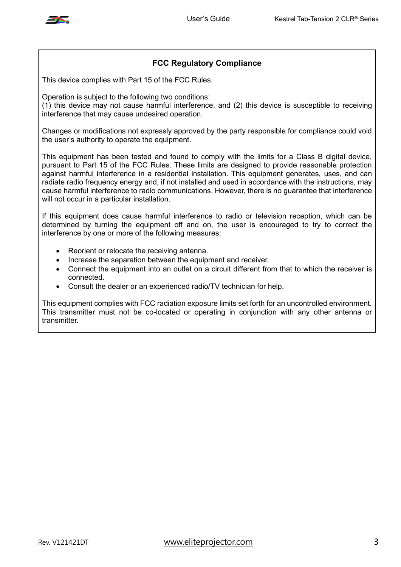

#### **FCC Regulatory Compliance**

This device complies with Part 15 of the FCC Rules.

Operation is subject to the following two conditions:

(1) this device may not cause harmful interference, and (2) this device is susceptible to receiving interference that may cause undesired operation.

Changes or modifications not expressly approved by the party responsible for compliance could void the user's authority to operate the equipment.

This equipment has been tested and found to comply with the limits for a Class B digital device, pursuant to Part 15 of the FCC Rules. These limits are designed to provide reasonable protection against harmful interference in a residential installation. This equipment generates, uses, and can radiate radio frequency energy and, if not installed and used in accordance with the instructions, may cause harmful interference to radio communications. However, there is no guarantee that interference will not occur in a particular installation.

If this equipment does cause harmful interference to radio or television reception, which can be determined by turning the equipment off and on, the user is encouraged to try to correct the interference by one or more of the following measures:

- Reorient or relocate the receiving antenna.
- Increase the separation between the equipment and receiver.
- Connect the equipment into an outlet on a circuit different from that to which the receiver is connected.
- Consult the dealer or an experienced radio/TV technician for help.

This equipment complies with FCC radiation exposure limits set forth for an uncontrolled environment. This transmitter must not be co-located or operating in conjunction with any other antenna or transmitter.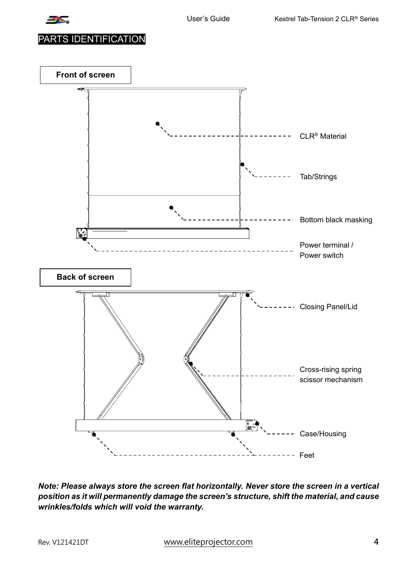

PARTS IDENTIFICATION



*Note: Please always store the screen flat horizontally. Never store the screen in a vertical position as it will permanently damage the screen's structure, shift the material, and cause wrinkles/folds which will void the warranty.*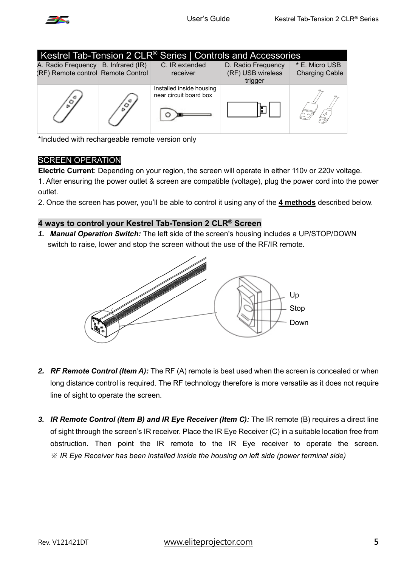

| Kestrel Tab-Tension 2 CLR <sup>®</sup> Series   Controls and Accessories  |  |                                                    |                                                    |                                         |
|---------------------------------------------------------------------------|--|----------------------------------------------------|----------------------------------------------------|-----------------------------------------|
| A. Radio Frequency B. Infrared (IR)<br>(RF) Remote control Remote Control |  | C. IR extended<br>receiver                         | D. Radio Frequency<br>(RF) USB wireless<br>trigger | * E. Micro USB<br><b>Charging Cable</b> |
|                                                                           |  | Installed inside housing<br>near circuit board box | o                                                  |                                         |

\*Included with rechargeable remote version only

#### SCREEN OPERATION

**Electric Current**: Depending on your region, the screen will operate in either 110v or 220v voltage.

1. After ensuring the power outlet & screen are compatible (voltage), plug the power cord into the power outlet.

2. Once the screen has power, you'll be able to control it using any of the **4 methods** described below.

#### **4 ways to control your Kestrel Tab-Tension 2 CLR® Screen**

*1. Manual Operation Switch:* The left side of the screen's housing includes a UP/STOP/DOWN switch to raise, lower and stop the screen without the use of the RF/IR remote.



- *2. RF Remote Control (Item A):* The RF (A) remote is best used when the screen is concealed or when long distance control is required. The RF technology therefore is more versatile as it does not require line of sight to operate the screen.
- *3. IR Remote Control (Item B) and IR Eye Receiver (Item C):* The IR remote (B) requires a direct line of sight through the screen's IR receiver. Place the IR Eye Receiver (C) in a suitable location free from obstruction. Then point the IR remote to the IR Eye receiver to operate the screen. *※ IR Eye Receiver has been installed inside the housing on left side (power terminal side)*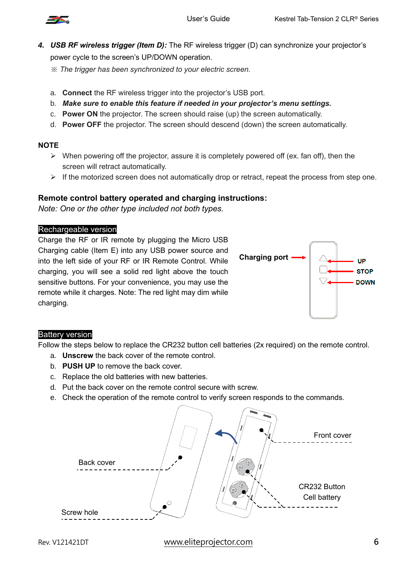

- *4. USB RF wireless trigger (Item D):* The RF wireless trigger (D) can synchronize your projector's power cycle to the screen's UP/DOWN operation.
	- *※ The trigger has been synchronized to your electric screen.*
	- a. **Connect** the RF wireless trigger into the projector's USB port.
	- b. *Make sure to enable this feature if needed in your projector's menu settings.*
	- c. **Power ON** the projector. The screen should raise (up) the screen automatically.
	- d. **Power OFF** the projector. The screen should descend (down) the screen automatically.

#### **NOTE**

- $\triangleright$  When powering off the projector, assure it is completely powered off (ex. fan off), then the screen will retract automatically.
- $\triangleright$  If the motorized screen does not automatically drop or retract, repeat the process from step one.

#### **Remote control battery operated and charging instructions:**

*Note: One or the other type included not both types.*

#### Rechargeable version

Charge the RF or IR remote by plugging the Micro USB Charging cable (Item E) into any USB power source and into the left side of your RF or IR Remote Control. While charging, you will see a solid red light above the touch sensitive buttons. For your convenience, you may use the remote while it charges. Note: The red light may dim while charging.



#### Battery version

Follow the steps below to replace the CR232 button cell batteries (2x required) on the remote control.

- a. **Unscrew** the back cover of the remote control.
- b. **PUSH UP** to remove the back cover.
- c. Replace the old batteries with new batteries.
- d. Put the back cover on the remote control secure with screw.
- e. Check the operation of the remote control to verify screen responds to the commands.

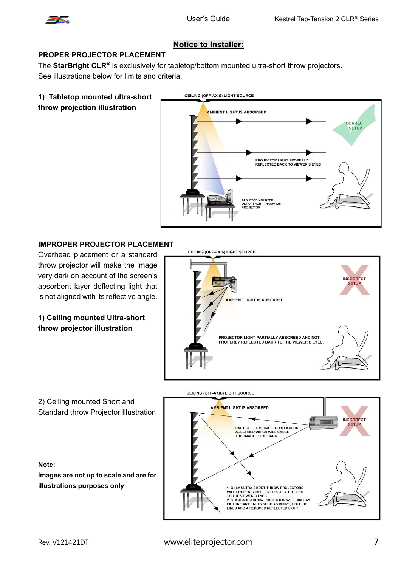

#### **Notice to Installer:**

#### **PROPER PROJECTOR PLACEMENT**

The **StarBright CLR®** is exclusively for tabletop/bottom mounted ultra-short throw projectors. See illustrations below for limits and criteria.

#### **1) Tabletop mounted ultra-short throw projection illustration**



#### **IMPROPER PROJECTOR PLACEMENT**

Overhead placement or a standard throw projector will make the image very dark on account of the screen's absorbent layer deflecting light that is not aligned with its reflective angle.

#### **1) Ceiling mounted Ultra-short throw projector illustration**





# Rev. V121421DT www.eliteprojector.com **7**